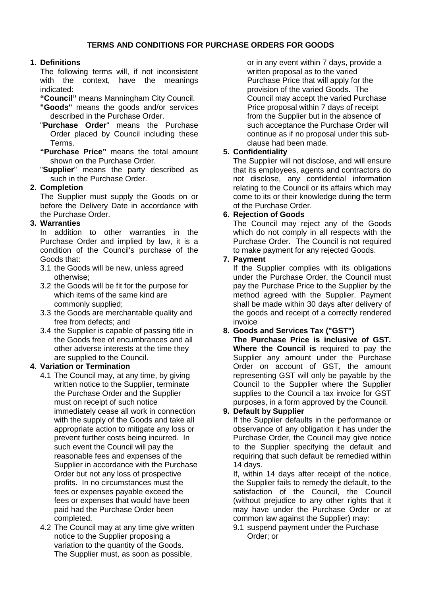# **1. Definitions**

The following terms will, if not inconsistent with the context, have the meanings indicated:

**"Council"** means Manningham City Council.

- **"Goods"** means the goods and/or services described in the Purchase Order.
- "**Purchase Order**" means the Purchase Order placed by Council including these Terms.
- **"Purchase Price"** means the total amount shown on the Purchase Order.
- "**Supplier**" means the party described as such in the Purchase Order.

# **2. Completion**

The Supplier must supply the Goods on or before the Delivery Date in accordance with the Purchase Order.

# **3. Warranties**

In addition to other warranties in the Purchase Order and implied by law, it is a condition of the Council's purchase of the Goods that:

- 3.1 the Goods will be new, unless agreed otherwise;
- 3.2 the Goods will be fit for the purpose for which items of the same kind are commonly supplied;
- 3.3 the Goods are merchantable quality and free from defects; and
- 3.4 the Supplier is capable of passing title in the Goods free of encumbrances and all other adverse interests at the time they are supplied to the Council.

# **4. Variation or Termination**

- 4.1 The Council may, at any time, by giving written notice to the Supplier, terminate the Purchase Order and the Supplier must on receipt of such notice immediately cease all work in connection with the supply of the Goods and take all appropriate action to mitigate any loss or prevent further costs being incurred. In such event the Council will pay the reasonable fees and expenses of the Supplier in accordance with the Purchase Order but not any loss of prospective profits. In no circumstances must the fees or expenses payable exceed the fees or expenses that would have been paid had the Purchase Order been completed.
- 4.2 The Council may at any time give written notice to the Supplier proposing a variation to the quantity of the Goods. The Supplier must, as soon as possible,

or in any event within 7 days, provide a written proposal as to the varied Purchase Price that will apply for the provision of the varied Goods. The Council may accept the varied Purchase Price proposal within 7 days of receipt from the Supplier but in the absence of such acceptance the Purchase Order will continue as if no proposal under this subclause had been made.

## **5. Confidentiality**

The Supplier will not disclose, and will ensure that its employees, agents and contractors do not disclose, any confidential information relating to the Council or its affairs which may come to its or their knowledge during the term of the Purchase Order.

## **6. Rejection of Goods**

The Council may reject any of the Goods which do not comply in all respects with the Purchase Order. The Council is not required to make payment for any rejected Goods.

## **7. Payment**

If the Supplier complies with its obligations under the Purchase Order, the Council must pay the Purchase Price to the Supplier by the method agreed with the Supplier. Payment shall be made within 30 days after delivery of the goods and receipt of a correctly rendered invoice

# **8. Goods and Services Tax ("GST")**

**The Purchase Price is inclusive of GST. Where the Council is** required to pay the Supplier any amount under the Purchase Order on account of GST, the amount representing GST will only be payable by the Council to the Supplier where the Supplier supplies to the Council a tax invoice for GST purposes, in a form approved by the Council.

## **9. Default by Supplier**

If the Supplier defaults in the performance or observance of any obligation it has under the Purchase Order, the Council may give notice to the Supplier specifying the default and requiring that such default be remedied within 14 days.

If, within 14 days after receipt of the notice, the Supplier fails to remedy the default, to the satisfaction of the Council, the Council (without prejudice to any other rights that it may have under the Purchase Order or at common law against the Supplier) may:

9.1 suspend payment under the Purchase Order; or